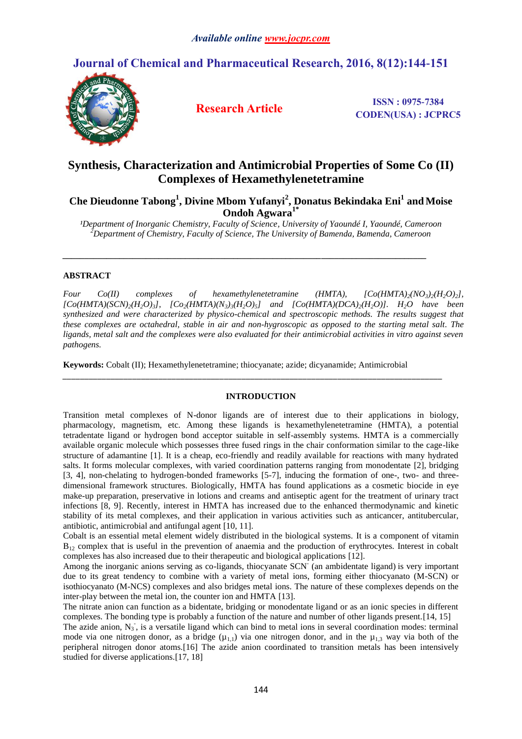# **Journal of Chemical and Pharmaceutical Research, 2016, 8(12):144-151**



**Research Article ISSN : 0975-7384 CODEN(USA) : JCPRC5**

# **Synthesis, Characterization and Antimicrobial Properties of Some Co (II) Complexes of Hexamethylenetetramine**

**Che Dieudonne Tabong<sup>1</sup> , Divine Mbom Yufanyi<sup>2</sup> , Donatus Bekindaka Eni<sup>1</sup> and Moise Ondoh Agwara1\***

*¹Department of Inorganic Chemistry, Faculty of Science, University of Yaoundé I, Yaoundé, Cameroon <sup>2</sup>Department of Chemistry, Faculty of Science, The University of Bamenda, Bamenda, Cameroon*

*\_\_\_\_\_\_\_\_\_\_\_\_\_\_\_\_\_\_\_\_\_\_\_\_\_\_\_\_\_\_\_\_\_\_\_\_\_\_\_\_\_\_\_\_\_\_\_\_\_\_\_\_\_\_\_\_\_\_\_\_\_\_\_\_\_\_\_\_\_\_\_\_\_\_\_\_\_\_\_\_\_\_\_*

# **ABSTRACT**

*Four Co(II) complexes of hexamethylenetetramine (HMTA),*  $[Co(HMTA)_{2}(NO_{3})_{2}(H_{2}O_{2})_{1}]$  $[Co(HMTA)(SCN)_{2}(H_{2}O_{3})]$ ,  $[Co_{2}(HMTA)(N_{3})_{3}(H_{2}O_{3})]$  and  $[Co(HMTA)(DCA)_{2}(H_{2}O)]$ . H<sub>2</sub>O have been *synthesized and were characterized by physico-chemical and spectroscopic methods. The results suggest that these complexes are octahedral, stable in air and non-hygroscopic as opposed to the starting metal salt. The ligands, metal salt and the complexes were also evaluated for their antimicrobial activities in vitro against seven pathogens.* 

**Keywords:** Cobalt (II); Hexamethylenetetramine; thiocyanate; azide; dicyanamide; Antimicrobial

# **INTRODUCTION**

*\_\_\_\_\_\_\_\_\_\_\_\_\_\_\_\_\_\_\_\_\_\_\_\_\_\_\_\_\_\_\_\_\_\_\_\_\_\_\_\_\_\_\_\_\_\_\_\_\_\_\_\_\_\_\_\_\_\_\_\_\_\_\_\_\_\_\_\_\_\_\_\_\_\_\_\_\_\_\_\_\_\_\_\_\_\_\_*

Transition metal complexes of N-donor ligands are of interest due to their applications in biology, pharmacology, magnetism, etc. Among these ligands is hexamethylenetetramine (HMTA), a potential tetradentate ligand or hydrogen bond acceptor suitable in self-assembly systems. HMTA is a commercially available organic molecule which possesses three fused rings in the chair conformation similar to the cage-like structure of adamantine [1]. It is a cheap, eco-friendly and readily available for reactions with many hydrated salts. It forms molecular complexes, with varied coordination patterns ranging from monodentate [2], bridging [3, 4], non-chelating to hydrogen-bonded frameworks [5-7], inducing the formation of one-, two- and threedimensional framework structures. Biologically, HMTA has found applications as a cosmetic biocide in eye make-up preparation, preservative in lotions and creams and antiseptic agent for the treatment of urinary tract infections [8, 9]. Recently, interest in HMTA has increased due to the enhanced thermodynamic and kinetic stability of its metal complexes, and their application in various activities such as anticancer, antitubercular, antibiotic, antimicrobial and antifungal agent [10, 11].

Cobalt is an essential metal element widely distributed in the biological systems. It is a component of vitamin  $B_{12}$  complex that is useful in the prevention of anaemia and the production of erythrocytes. Interest in cobalt complexes has also increased due to their therapeutic and biological applications [12].

Among the inorganic anions serving as co-ligands, thiocyanate SCN (an ambidentate ligand) is very important due to its great tendency to combine with a variety of metal ions, forming either thiocyanato (M-SCN) or isothiocyanato (M-NCS) complexes and also bridges metal ions. The nature of these complexes depends on the inter-play between the metal ion, the counter ion and HMTA [13].

The nitrate anion can function as a bidentate, bridging or monodentate ligand or as an ionic species in different complexes. The bonding type is probably a function of the nature and number of other ligands present.[14, 15]

The azide anion,  $N_3$ , is a versatile ligand which can bind to metal ions in several coordination modes: terminal mode via one nitrogen donor, as a bridge  $(\mu_{1,1})$  via one nitrogen donor, and in the  $\mu_{1,3}$  way via both of the peripheral nitrogen donor atoms.[16] The azide anion coordinated to transition metals has been intensively studied for diverse applications.[17, 18]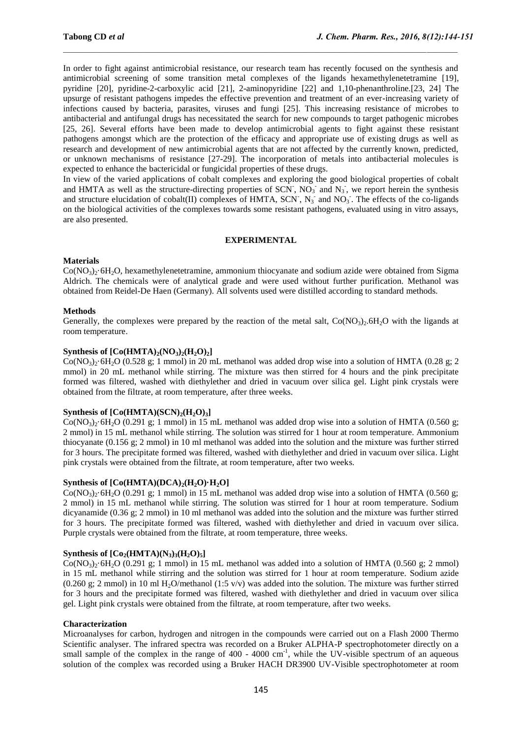In order to fight against antimicrobial resistance, our research team has recently focused on the synthesis and antimicrobial screening of some transition metal complexes of the ligands hexamethylenetetramine [19], pyridine [20], pyridine-2-carboxylic acid [21], 2-aminopyridine [22] and 1,10-phenanthroline.[23, 24] The upsurge of resistant pathogens impedes the effective prevention and treatment of an ever-increasing variety of infections caused by bacteria, parasites, viruses and fungi [25]. This increasing resistance of microbes to antibacterial and antifungal drugs has necessitated the search for new compounds to target pathogenic microbes [25, 26]. Several efforts have been made to develop antimicrobial agents to fight against these resistant pathogens amongst which are the protection of the efficacy and appropriate use of existing drugs as well as research and development of new antimicrobial agents that are not affected by the currently known, predicted, or unknown mechanisms of resistance [27-29]. The incorporation of metals into antibacterial molecules is expected to enhance the bactericidal or fungicidal properties of these drugs.

In view of the varied applications of cobalt complexes and exploring the good biological properties of cobalt and HMTA as well as the structure-directing properties of SCN,  $NO_3$  and  $N_3$ , we report herein the synthesis and structure elucidation of cobalt(II) complexes of HMTA, SCN,  $N_3$  and  $NO_3$ . The effects of the co-ligands on the biological activities of the complexes towards some resistant pathogens, evaluated using in vitro assays, are also presented.

# **EXPERIMENTAL**

## **Materials**

 $Co(NO<sub>3</sub>)<sub>2</sub>·6H<sub>2</sub>O$ , hexamethylenetetramine, ammonium thiocyanate and sodium azide were obtained from Sigma Aldrich. The chemicals were of analytical grade and were used without further purification. Methanol was obtained from Reidel-De Haen (Germany). All solvents used were distilled according to standard methods.

## **Methods**

Generally, the complexes were prepared by the reaction of the metal salt,  $Co(NO<sub>3</sub>)<sub>2</sub>·6H<sub>2</sub>O$  with the ligands at room temperature.

# **Synthesis of**  $[Co(HMTA)_{2}(NO_{3})_{2}(H_{2}O)_{2}]$

 $Co(NO<sub>3</sub>)<sub>2</sub>·6H<sub>2</sub>O$  (0.528 g; 1 mmol) in 20 mL methanol was added drop wise into a solution of HMTA (0.28 g; 2 mmol) in 20 mL methanol while stirring. The mixture was then stirred for 4 hours and the pink precipitate formed was filtered, washed with diethylether and dried in vacuum over silica gel. Light pink crystals were obtained from the filtrate, at room temperature, after three weeks.

# **Synthesis of**  $[Co(HMTA)(SCN)$ **<sub>2</sub>** $(H_2O)$ **<sub>3</sub>**

 $Co(NO<sub>3</sub>)<sub>2</sub>·6H<sub>2</sub>O (0.291 g; 1 mmol)$  in 15 mL methanol was added drop wise into a solution of HMTA (0.560 g; 2 mmol) in 15 mL methanol while stirring. The solution was stirred for 1 hour at room temperature. Ammonium thiocyanate (0.156 g; 2 mmol) in 10 ml methanol was added into the solution and the mixture was further stirred for 3 hours. The precipitate formed was filtered, washed with diethylether and dried in vacuum over silica. Light pink crystals were obtained from the filtrate, at room temperature, after two weeks.

#### **Synthesis of**  $[Co(HMTA)(DCA)_{2}(H_{2}O) \cdot H_{2}O]$

 $Co(NO<sub>3</sub>)<sub>2</sub>·6H<sub>2</sub>O (0.291 g; 1 mmol)$  in 15 mL methanol was added drop wise into a solution of HMTA (0.560 g; 2 mmol) in 15 mL methanol while stirring. The solution was stirred for 1 hour at room temperature. Sodium dicyanamide (0.36 g; 2 mmol) in 10 ml methanol was added into the solution and the mixture was further stirred for 3 hours. The precipitate formed was filtered, washed with diethylether and dried in vacuum over silica. Purple crystals were obtained from the filtrate, at room temperature, three weeks.

#### **Synthesis of**  $[Co_2(HMTA)(N_3)_3(H_2O)_5]$

 $Co(NO_3)$ <sup>2</sup>·6H<sub>2</sub>O (0.291 g; 1 mmol) in 15 mL methanol was added into a solution of HMTA (0.560 g; 2 mmol) in 15 mL methanol while stirring and the solution was stirred for 1 hour at room temperature. Sodium azide  $(0.260 \text{ g}; 2 \text{ mmol})$  in 10 ml H<sub>2</sub>O/methanol (1:5 v/v) was added into the solution. The mixture was further stirred for 3 hours and the precipitate formed was filtered, washed with diethylether and dried in vacuum over silica gel. Light pink crystals were obtained from the filtrate, at room temperature, after two weeks.

### **Characterization**

Microanalyses for carbon, hydrogen and nitrogen in the compounds were carried out on a Flash 2000 Thermo Scientific analyser. The infrared spectra was recorded on a Bruker ALPHA-P spectrophotometer directly on a small sample of the complex in the range of  $400 - 4000$  cm<sup>-1</sup>, while the UV-visible spectrum of an aqueous solution of the complex was recorded using a Bruker HACH DR3900 UV-Visible spectrophotometer at room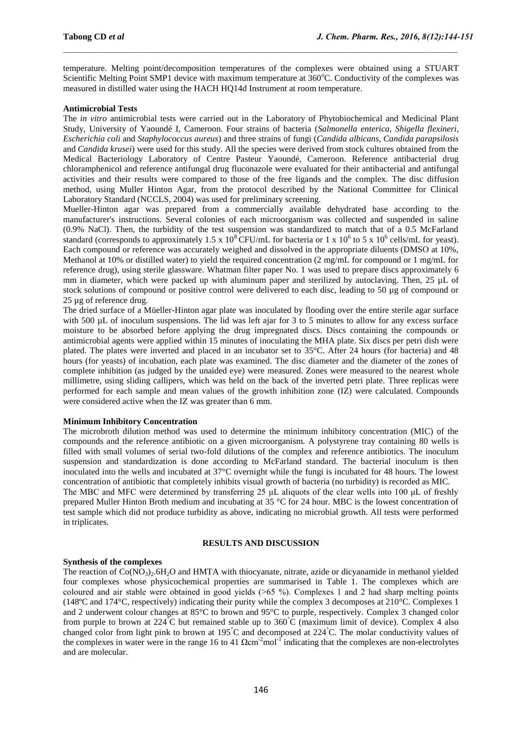temperature. Melting point/decomposition temperatures of the complexes were obtained using a STUART Scientific Melting Point SMP1 device with maximum temperature at 360°C. Conductivity of the complexes was measured in distilled water using the HACH HQ14d Instrument at room temperature.

## **Antimicrobial Tests**

The *in vitro* antimicrobial tests were carried out in the Laboratory of Phytobiochemical and Medicinal Plant Study, University of Yaoundé I, Cameroon. Four strains of bacteria (*Salmonella enterica*, *Shigella flexineri*, *Escherichia coli* and *Staphylococcus aureus*) and three strains of fungi (*Candida albicans, Candida parapsilosis*  and *Candida krusei*) were used for this study. All the species were derived from stock cultures obtained from the Medical Bacteriology Laboratory of Centre Pasteur Yaoundé, Cameroon. Reference antibacterial drug chloramphenicol and reference antifungal drug fluconazole were evaluated for their antibacterial and antifungal activities and their results were compared to those of the free ligands and the complex. The disc diffusion method, using Muller Hinton Agar, from the protocol described by the National Committee for Clinical Laboratory Standard (NCCLS, 2004) was used for preliminary screening.

Mueller-Hinton agar was prepared from a commercially available dehydrated base according to the manufacturer's instructions. Several colonies of each microorganism was collected and suspended in saline (0.9% NaCl). Then, the turbidity of the test suspension was standardized to match that of a 0.5 McFarland standard (corresponds to approximately 1.5 x  $10^8$ CFU/mL for bacteria or 1 x  $10^6$  to 5 x  $10^6$  cells/mL for yeast). Each compound or reference was accurately weighed and dissolved in the appropriate diluents (DMSO at 10%, Methanol at 10% or distilled water) to yield the required concentration (2 mg/mL for compound or 1 mg/mL for reference drug), using sterile glassware. Whatman filter paper No. 1 was used to prepare discs approximately 6 mm in diameter, which were packed up with aluminum paper and sterilized by autoclaving. Then, 25 µL of stock solutions of compound or positive control were delivered to each disc, leading to 50 µg of compound or 25 µg of reference drug.

The dried surface of a Müeller-Hinton agar plate was inoculated by flooding over the entire sterile agar surface with 500 uL of inoculum suspensions. The lid was left ajar for 3 to 5 minutes to allow for any excess surface moisture to be absorbed before applying the drug impregnated discs. Discs containing the compounds or antimicrobial agents were applied within 15 minutes of inoculating the MHA plate. Six discs per petri dish were plated. The plates were inverted and placed in an incubator set to 35°C. After 24 hours (for bacteria) and 48 hours (for yeasts) of incubation, each plate was examined. The disc diameter and the diameter of the zones of complete inhibition (as judged by the unaided eye) were measured. Zones were measured to the nearest whole millimetre, using sliding callipers, which was held on the back of the inverted petri plate. Three replicas were performed for each sample and mean values of the growth inhibition zone (IZ) were calculated. Compounds were considered active when the IZ was greater than 6 mm.

#### **Minimum Inhibitory Concentration**

The microbroth dilution method was used to determine the minimum inhibitory concentration (MIC) of the compounds and the reference antibiotic on a given microorganism. A polystyrene tray containing 80 wells is filled with small volumes of serial two-fold dilutions of the complex and reference antibiotics. The inoculum suspension and standardization is done according to McFarland standard. The bacterial inoculum is then inoculated into the wells and incubated at 37°C overnight while the fungi is incubated for 48 hours. The lowest concentration of antibiotic that completely inhibits visual growth of bacteria (no turbidity) is recorded as MIC.

The MBC and MFC were determined by transferring 25 μL aliquots of the clear wells into 100 μL of freshly prepared Muller Hinton Broth medium and incubating at 35 °C for 24 hour. MBC is the lowest concentration of test sample which did not produce turbidity as above, indicating no microbial growth. All tests were performed in triplicates.

# **RESULTS AND DISCUSSION**

# **Synthesis of the complexes**

The reaction of  $Co(NO<sub>3</sub>)$ , 6H<sub>2</sub>O and HMTA with thiocyanate, nitrate, azide or dicyanamide in methanol yielded four complexes whose physicochemical properties are summarised in Table 1. The complexes which are coloured and air stable were obtained in good yields (˃65 %). Complexes 1 and 2 had sharp melting points (148ºC and 174°C, respectively) indicating their purity while the complex 3 decomposes at 210°C. Complexes 1 and 2 underwent colour changes at 85°C to brown and 95°C to purple, respectively. Complex 3 changed color from purple to brown at  $224^{\circ}$ C but remained stable up to  $360^{\circ}$ C (maximum limit of device). Complex 4 also changed color from light pink to brown at 195°C and decomposed at 224°C. The molar conductivity values of the complexes in water were in the range 16 to 41  $\Omega$ cm<sup>-2</sup>mol<sup>-1</sup> indicating that the complexes are non-electrolytes and are molecular.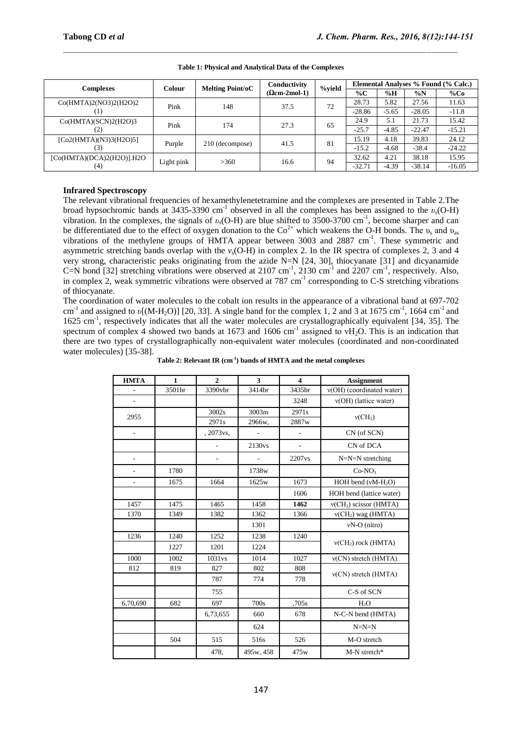| Complexes                           | Colour     | <b>Melting Point/oC</b> | Conductivity<br>$(Qcm-2mol-1)$ | %yield | Elemental Analyses % Found (% Calc.) |         |          |          |
|-------------------------------------|------------|-------------------------|--------------------------------|--------|--------------------------------------|---------|----------|----------|
|                                     |            |                         |                                |        | $\%C$                                | %H      | $\%N$    | %Co      |
| Co(HMTA)2(NO3)2(H2O)2               | Pink       | 148                     | 37.5                           | 72     | 28.73                                | 5.82    | 27.56    | 11.63    |
|                                     |            |                         |                                |        | $-28.86$                             | $-5.65$ | $-28.05$ | $-11.8$  |
| Co(HMTA)(SCN)2(H2O)3                | Pink       | 174                     | 27.3                           | 65     | 24.9                                 | 5.1     | 21.73    | 15.42    |
| (2)                                 |            |                         |                                |        | $-25.7$                              | $-4.85$ | $-22.47$ | $-15.21$ |
| [Co2(HMTA)(N3)3(H2O)5]              |            |                         | 41.5                           | 81     | 15.19                                | 4.18    | 39.83    | 24.12    |
| (3)                                 | Purple     | 210 (decompose)         |                                |        | $-15.2$                              | $-4.68$ | $-38.4$  | $-24.22$ |
| $[Co(HMTA)(DCA)2(H2O)]$ .H2O<br>(4) | Light pink | >360                    | 16.6                           | 94     | 32.62                                | 4.21    | 38.18    | 15.95    |
|                                     |            |                         |                                |        | $-32.71$                             | $-4.39$ | $-38.14$ | $-16.05$ |

**Table 1: Physical and Analytical Data of the Complexes**

# **Infrared Spectroscopy**

The relevant vibrational frequencies of hexamethylenetetramine and the complexes are presented in Table 2.The broad hypsochromic bands at 3435-3390 cm-1 observed in all the complexes has been assigned to the *υs*(O-H) vibration. In the complexes, the signals of *v<sub>s</sub>*(O-H) are blue shifted to 3500-3700 cm<sup>-1</sup>, become sharper and can be differentiated due to the effect of oxygen donation to the  $Co^{2+}$  which weakens the O-H bonds. The  $v_s$  and  $v_{as}$ vibrations of the methylene groups of HMTA appear between 3003 and 2887 cm<sup>-1</sup>. These symmetric and asymmetric stretching bands overlap with the  $v_s$ (O-H) in complex 2. In the IR spectra of complexes 2, 3 and 4 very strong, characteristic peaks originating from the azide N=N [24, 30], thiocyanate [31] and dicyanamide C=N bond [32] stretching vibrations were observed at  $2107 \text{ cm}^{-1}$ ,  $2130 \text{ cm}^{-1}$  and  $2207 \text{ cm}^{-1}$ , respectively. Also, in complex 2, weak symmetric vibrations were observed at 787 cm<sup>-1</sup> corresponding to C-S stretching vibrations of thiocyanate.

The coordination of water molecules to the cobalt ion results in the appearance of a vibrational band at 697-702 cm<sup>-1</sup> and assigned to *υ*[(M-H<sub>2</sub>O)] [20, 33]. A single band for the complex 1, 2 and 3 at 1675 cm<sup>-1</sup>, 1664 cm<sup>-1</sup> and 1625 cm<sup>-1</sup>, respectively indicates that all the water molecules are crystallographically equivalent [34, 35]. The spectrum of complex 4 showed two bands at 1673 and 1606 cm<sup>-1</sup> assigned to  $vH_2O$ . This is an indication that there are two types of crystallographically non-equivalent water molecules (coordinated and non-coordinated water molecules) [35-38].

| <b>HMTA</b>    | $\mathbf{1}$ | $\overline{2}$ | 3         | $\overline{\mathbf{4}}$ | <b>Assignment</b>         |  |
|----------------|--------------|----------------|-----------|-------------------------|---------------------------|--|
|                | 3501br       | 3390vbr        | 3414br    | 3435br                  | v(OH) (coordinated water) |  |
| ÷,             |              |                |           | 3248                    | v(OH) (lattice water)     |  |
| 2955           |              | 3002s          | 3003m     | 2971s                   | v(CH <sub>2</sub> )       |  |
|                |              | 2971s          | 2966w.    | 2887w                   |                           |  |
| ÷,             |              | , 2073 vs,     |           | ÷,                      | CN (of SCN)               |  |
|                |              | L,             | 2130vs    | $\overline{a}$          | CN of DCA                 |  |
| L,             |              | $\overline{a}$ |           | 2207vs                  | $N=N=N$ stretching        |  |
| ä,             | 1780         |                | 1738w     |                         | $Co-NO3$                  |  |
| $\overline{a}$ | 1675         | 1664           | 1625w     | 1673                    | HOH bend $(vM-H2O)$       |  |
|                |              |                |           | 1606                    | HOH bend (lattice water)  |  |
| 1457           | 1475         | 1465           | 1458      | 1462                    | $v(CH2)$ scissor (HMTA)   |  |
| 1370           | 1349         | 1382           | 1362      | 1366                    | $v(CH2)$ wag (HMTA)       |  |
|                |              |                | 1301      |                         | $vN-O$ (nitro)            |  |
| 1236           | 1240         | 1252           | 1238      | 1240                    |                           |  |
|                | 1227         | 1201           | 1224      |                         | $v(CH2)$ rock (HMTA)      |  |
| 1000           | 1002         | 1031vs         | 1014      | 1027                    | $v(CN)$ stretch (HMTA)    |  |
| 812            | 819          | 827            | 802       | 808                     |                           |  |
|                |              | 787            | 774       | 778                     | $v(CN)$ stretch (HMTA)    |  |
|                |              | 755            |           |                         | C-S of SCN                |  |
| 6,70,690       | 682          | 697            | 700s      | .705s                   | $H_2O$                    |  |
|                |              | 6,73,655       | 660       | 678                     | N-C-N bend (HMTA)         |  |
|                |              |                | 624       |                         | $N=N=N$                   |  |
|                | 504          | 515            | 516s      | 526                     | M-O stretch               |  |
|                |              | 478.           | 495w, 458 | 475w                    | M-N stretch*              |  |

**Table 2: Relevant IR (cm-1 ) bands of HMTA and the metal complexes**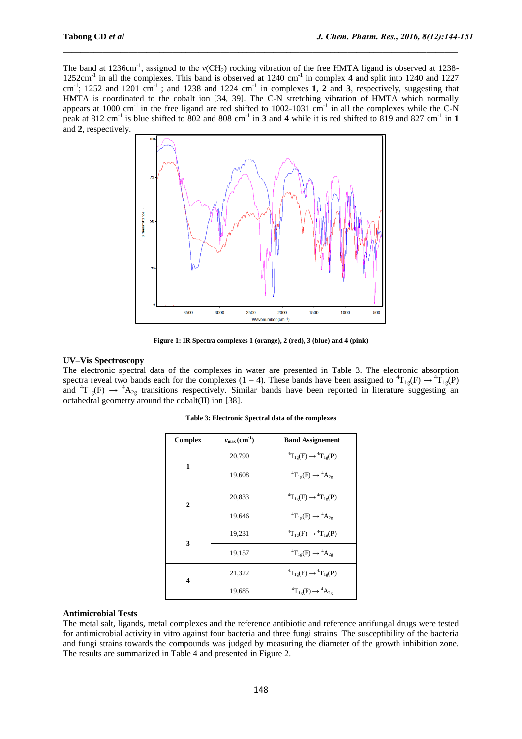The band at 1236cm<sup>-1</sup>, assigned to the  $v(CH_2)$  rocking vibration of the free HMTA ligand is observed at 1238-1252cm-1 in all the complexes. This band is observed at 1240 cm-1 in complex **4** and split into 1240 and 1227  $cm^{-1}$ ; 1252 and 1201  $cm^{-1}$ ; and 1238 and 1224  $cm^{-1}$  in complexes 1, 2 and 3, respectively, suggesting that HMTA is coordinated to the cobalt ion [34, 39]. The C-N stretching vibration of HMTA which normally appears at 1000 cm<sup>-1</sup> in the free ligand are red shifted to 1002-1031 cm<sup>-1</sup> in all the complexes while the C-N peak at 812 cm<sup>-1</sup> is blue shifted to 802 and 808 cm<sup>-1</sup> in 3 and 4 while it is red shifted to 819 and 827 cm<sup>-1</sup> in 1 and **2**, respectively.



**Figure 1: IR Spectra complexes 1 (orange), 2 (red), 3 (blue) and 4 (pink)**

# **UV–Vis Spectroscopy**

The electronic spectral data of the complexes in water are presented in Table 3. The electronic absorption spectra reveal two bands each for the complexes (1 – 4). These bands have been assigned to  ${}^{4}T_{1g}(F) \rightarrow {}^{4}T_{1g}(P)$ and  ${}^{4}T_{1g}(F) \rightarrow {}^{4}A_{2g}$  transitions respectively. Similar bands have been reported in literature suggesting an octahedral geometry around the cobalt(II) ion [38].

| <b>Complex</b> | $v_{\text{max}}(\text{cm}^{-1})$ | <b>Band Assignement</b>                       |  |  |
|----------------|----------------------------------|-----------------------------------------------|--|--|
|                | 20,790                           | ${}^{4}T_{1g}(F) \rightarrow {}^{4}T_{1g}(P)$ |  |  |
| 1              | 19,608                           | ${}^4T_{1g}(F) \rightarrow {}^4A_{2g}$        |  |  |
| $\overline{2}$ | 20.833                           | ${}^{4}T_{1g}(F) \rightarrow {}^{4}T_{1g}(P)$ |  |  |
|                | 19,646                           | ${}^{4}T_{1g}(F) \rightarrow {}^{4}A_{2g}$    |  |  |
| 3              | 19,231                           | ${}^{4}T_{1g}(F) \rightarrow {}^{4}T_{1g}(P)$ |  |  |
|                | 19,157                           | ${}^{4}T_{1g}(F) \rightarrow {}^{4}A_{2g}$    |  |  |
| 4              | 21,322                           | ${}^{4}T_{1g}(F) \rightarrow {}^{4}T_{1g}(P)$ |  |  |
|                | 19,685                           | ${}^{4}T_{1g}(F) \rightarrow {}^{4}A_{2g}$    |  |  |

**Table 3: Electronic Spectral data of the complexes**

#### **Antimicrobial Tests**

The metal salt, ligands, metal complexes and the reference antibiotic and reference antifungal drugs were tested for antimicrobial activity in vitro against four bacteria and three fungi strains. The susceptibility of the bacteria and fungi strains towards the compounds was judged by measuring the diameter of the growth inhibition zone. The results are summarized in Table 4 and presented in Figure 2.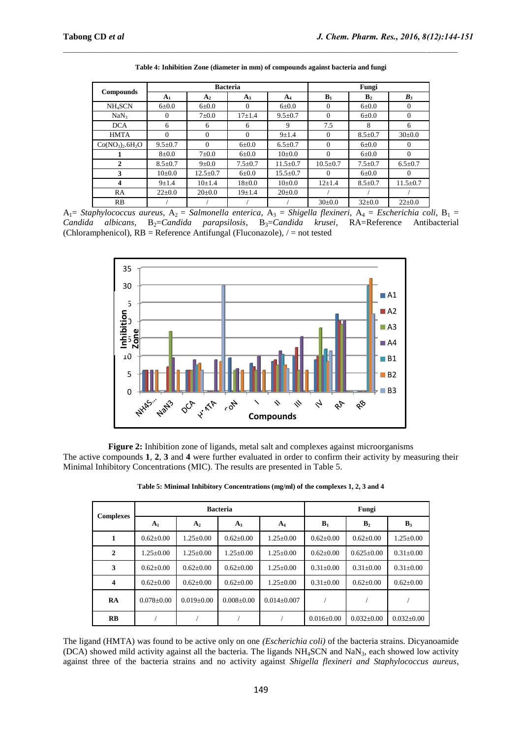| <b>Compounds</b>    |               |                | <b>Bacteria</b> | Fungi          |                |                |                |
|---------------------|---------------|----------------|-----------------|----------------|----------------|----------------|----------------|
|                     | $A_1$         | A <sub>2</sub> | $A_3$           | $A_4$          | $B_1$          | B <sub>2</sub> | $B_3$          |
| NH <sub>4</sub> SCN | $6 \pm 0.0$   | $6 \pm 0.0$    | $\Omega$        | $6 \pm 0.0$    | $\Omega$       | $6 \pm 0.0$    | $\overline{0}$ |
| NaN <sub>3</sub>    | $\Omega$      | $7\pm0.0$      | $17 + 1.4$      | $9.5 \pm 0.7$  | $\Omega$       | $6 \pm 0.0$    | $\overline{0}$ |
| <b>DCA</b>          | 6             | 6              | 6               | 9              | 7.5            | 8              | 6              |
| <b>HMTA</b>         | $\Omega$      | $\Omega$       | $\Omega$        | $9 + 1.4$      | $\Omega$       | $8.5 \pm 0.7$  | $30 \pm 0.0$   |
| $Co(NO_3)_2.6H_2O$  | $9.5 \pm 0.7$ | $\Omega$       | $6 \pm 0.0$     | $6.5 \pm 0.7$  | $\Omega$       | $6 \pm 0.0$    | $\Omega$       |
|                     | $8 + 0.0$     | $7 \pm 0.0$    | $6 \pm 0.0$     | $10\pm 0.0$    | $\Omega$       | $6 \pm 0.0$    | $\Omega$       |
| 2                   | $8.5 \pm 0.7$ | $9 \pm 0.0$    | $7.5 \pm 0.7$   | $11.5 \pm 0.7$ | $10.5 \pm 0.7$ | $7.5 \pm 0.7$  | $6.5 \pm 0.7$  |
| 3                   | $10\pm 0.0$   | $12.5 \pm 0.7$ | $6 \pm 0.0$     | $15.5 \pm 0.7$ | $\Omega$       | $6 \pm 0.0$    | $\Omega$       |
| 4                   | $9 + 1.4$     | $10+1.4$       | $18 \pm 0.0$    | $10\pm 0.0$    | $12+1.4$       | $8.5 \pm 0.7$  | $11.5 \pm 0.7$ |
| RA                  | $22 \pm 0.0$  | $20 \pm 0.0$   | $19 + 1.4$      | $20 \pm 0.0$   |                |                |                |
| <b>RB</b>           |               |                |                 |                | $30 \pm 0.0$   | $32 \pm 0.0$   | $22 \pm 0.0$   |

**Table 4: Inhibition Zone (diameter in mm) of compounds against bacteria and fungi**

A<sub>1</sub>= *Staphylococcus aureus*, A<sub>2</sub> = *Salmonella enterica*, A<sub>3</sub> = *Shigella flexineri*, A<sub>4</sub> = *Escherichia coli*, B<sub>1</sub> = Candida albicans, B<sub>2</sub>=Candida parapsilosis, B<sub>3</sub>=Candida krusei, RA=Reference Antibacterial (Chloramphenicol), RB = Reference Antifungal (Fluconazole), / = not tested



**Figure 2:** Inhibition zone of ligands, metal salt and complexes against microorganisms The active compounds **1**, **2**, **3** and **4** were further evaluated in order to confirm their activity by measuring their Minimal Inhibitory Concentrations (MIC). The results are presented in Table 5.

| <b>Complexes</b> |                  |                  | <b>Bacteria</b>  | Fungi           |                  |                  |                  |
|------------------|------------------|------------------|------------------|-----------------|------------------|------------------|------------------|
|                  | A <sub>1</sub>   | A <sub>2</sub>   | $A_3$            | A <sub>4</sub>  | $B_1$            | B <sub>2</sub>   | $B_3$            |
| 1                | $0.62+0.00$      | $1.25+0.00$      | $0.62 \pm 0.00$  | $1.25+0.00$     | $0.62 \pm 0.00$  | $0.62 \pm 0.00$  | $1.25 \pm 0.00$  |
| $\mathbf{2}$     | $1.25 \pm 0.00$  | $1.25+0.00$      | $1.25 \pm 0.00$  | $1.25+0.00$     | $0.62 \pm 0.00$  | $0.625 \pm 0.00$ | $0.31 \pm 0.00$  |
| 3                | $0.62{\pm}0.00$  | $0.62 \pm 0.00$  | $0.62 \pm 0.00$  | $1.25+0.00$     | $0.31 \pm 0.00$  | $0.31 \pm 0.00$  | $0.31 \pm 0.00$  |
| $\boldsymbol{4}$ | $0.62{\pm}0.00$  | $0.62 \pm 0.00$  | $0.62 \pm 0.00$  | $1.25 \pm 0.00$ | $0.31 \pm 0.00$  | $0.62 \pm 0.00$  | $0.62 \pm 0.00$  |
| RA               | $0.078 \pm 0.00$ | $0.019 \pm 0.00$ | $0.008 \pm 0.00$ | $0.014\pm0.007$ |                  |                  |                  |
| $\overline{RB}$  |                  |                  |                  |                 | $0.016 \pm 0.00$ | $0.032 \pm 0.00$ | $0.032 \pm 0.00$ |

**Table 5: Minimal Inhibitory Concentrations (mg/ml) of the complexes 1, 2, 3 and 4**

The ligand (HMTA) was found to be active only on one *(Escherichia coli)* of the bacteria strains. Dicyanoamide (DCA) showed mild activity against all the bacteria. The ligands NH<sub>4</sub>SCN and NaN<sub>3</sub>, each showed low activity against three of the bacteria strains and no activity against *Shigella flexineri and Staphylococcus aureus*,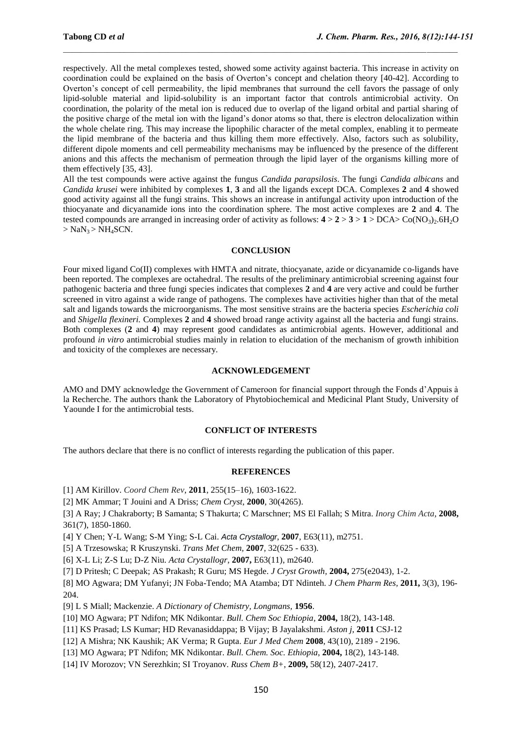respectively. All the metal complexes tested, showed some activity against bacteria. This increase in activity on coordination could be explained on the basis of Overton's concept and chelation theory [40-42]. According to Overton's concept of cell permeability, the lipid membranes that surround the cell favors the passage of only lipid-soluble material and lipid-solubility is an important factor that controls antimicrobial activity. On coordination, the polarity of the metal ion is reduced due to overlap of the ligand orbital and partial sharing of the positive charge of the metal ion with the ligand's donor atoms so that, there is electron delocalization within the whole chelate ring. This may increase the lipophilic character of the metal complex, enabling it to permeate the lipid membrane of the bacteria and thus killing them more effectively. Also, factors such as solubility, different dipole moments and cell permeability mechanisms may be influenced by the presence of the different anions and this affects the mechanism of permeation through the lipid layer of the organisms killing more of them effectively [35, 43].

All the test compounds were active against the fungus *Candida parapsilosis*. The fungi *Candida albicans* and *Candida krusei* were inhibited by complexes **1**, **3** and all the ligands except DCA. Complexes **2** and **4** showed good activity against all the fungi strains. This shows an increase in antifungal activity upon introduction of the thiocyanate and dicyanamide ions into the coordination sphere. The most active complexes are **2** and **4**. The tested compounds are arranged in increasing order of activity as follows:  $4 > 2 > 3 > 1 > DCA > Co(NO_3)_{2}$ .6H<sub>2</sub>O  $>$  NaN<sub>3</sub> $>$  NH<sub>4</sub>SCN.

#### **CONCLUSION**

Four mixed ligand Co(II) complexes with HMTA and nitrate, thiocyanate, azide or dicyanamide co-ligands have been reported. The complexes are octahedral. The results of the preliminary antimicrobial screening against four pathogenic bacteria and three fungi species indicates that complexes **2** and **4** are very active and could be further screened in vitro against a wide range of pathogens. The complexes have activities higher than that of the metal salt and ligands towards the microorganisms. The most sensitive strains are the bacteria species *Escherichia coli*  and *Shigella flexineri.* Complexes **2** and **4** showed broad range activity against all the bacteria and fungi strains*.*  Both complexes (**2** and **4**) may represent good candidates as antimicrobial agents. However, additional and profound *in vitro* antimicrobial studies mainly in relation to elucidation of the mechanism of growth inhibition and toxicity of the complexes are necessary*.*

#### **ACKNOWLEDGEMENT**

AMO and DMY acknowledge the Government of Cameroon for financial support through the Fonds d'Appuis à la Recherche. The authors thank the Laboratory of Phytobiochemical and Medicinal Plant Study, University of Yaounde I for the antimicrobial tests.

# **CONFLICT OF INTERESTS**

The authors declare that there is no conflict of interests regarding the publication of this paper.

#### **REFERENCES**

[1] AM Kirillov. *Coord Chem Rev*, **2011**, 255(15–16), 1603-1622.

[2] MK Ammar; T Jouini and A Driss; *Chem Cryst*, **2000**, 30(4265).

[3] A Ray; J Chakraborty; B Samanta; S Thakurta; C Marschner; MS El Fallah; S Mitra. *Inorg Chim Acta,* **2008,** 361(7), 1850-1860.

[4] Y Chen; Y-L Wang; S-M Ying; S-L Cai. *Acta Crystallogr*, **2007**, E63(11), m2751.

[5] A Trzesowska; R Kruszynski. *Trans Met Chem,* **2007**, 32(625 - 633).

[6] X-L Li; Z-S Lu; D-Z Niu. *Acta Crystallogr*, **2007,** E63(11), m2640.

[7] D Pritesh; C Deepak; AS Prakash; R Guru; MS Hegde. *J Cryst Growth,* **2004,** 275(e2043), 1-2.

[8] MO Agwara; DM Yufanyi; JN Foba-Tendo; MA Atamba; DT Ndinteh. *J Chem Pharm Res,* **2011,** 3(3), 196- 204.

[9] L S Miall; Mackenzie. *A Dictionary of Chemistry, Longmans,* **1956**.

[10] MO Agwara; PT Ndifon; MK Ndikontar. *Bull. Chem Soc Ethiopia,* **2004,** 18(2), 143-148.

[11] KS Prasad; LS Kumar; HD Revanasiddappa; B Vijay; B Jayalakshmi. *Aston j*, **2011** CSJ-12

[12] A Mishra; NK Kaushik; AK Verma; R Gupta. *Eur J Med Chem* **2008**, 43(10), 2189 - 2196.

[13] MO Agwara; PT Ndifon; MK Ndikontar. *Bull. Chem. Soc. Ethiopia*, **2004,** 18(2), 143-148.

[14] IV Morozov; VN Serezhkin; SI Troyanov. *Russ Chem B+*, **2009,** 58(12), 2407-2417.